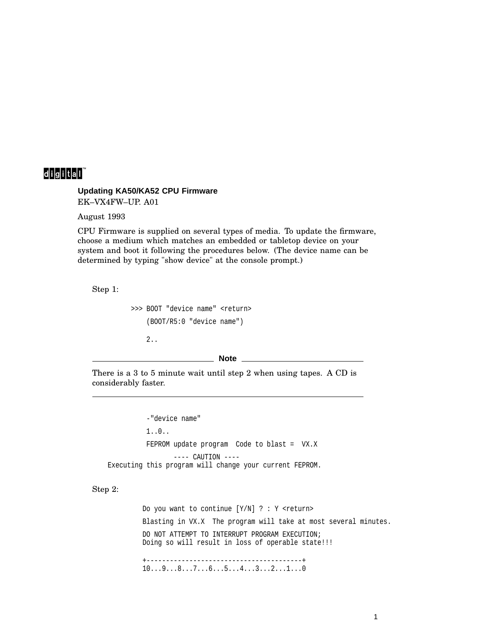## 

## **Updating KA50/KA52 CPU Firmware**

EK–VX4FW–UP. A01

August 1993

CPU Firmware is supplied on several types of media. To update the firmware, choose a medium which matches an embedded or tabletop device on your system and boot it following the procedures below. (The device name can be determined by typing "show device" at the console prompt.)

Step 1:

```
>>> BOOT "device name" <return>
(BOOT/R5:0 "device name")
2..
```
## **Note**

There is a 3 to 5 minute wait until step 2 when using tapes. A CD is considerably faster.

-"device name" 1..0.. FEPROM update program Code to blast = VX.X  $---$  CAUTION  $---$ Executing this program will change your current FEPROM.

Step 2:

Do you want to continue  $[Y/N]$  ? : Y <return> Blasting in VX.X The program will take at most several minutes. DO NOT ATTEMPT TO INTERRUPT PROGRAM EXECUTION; Doing so will result in loss of operable state!!! +----------------------------------------+ 10...9...8...7...6...5...4...3...2...1...0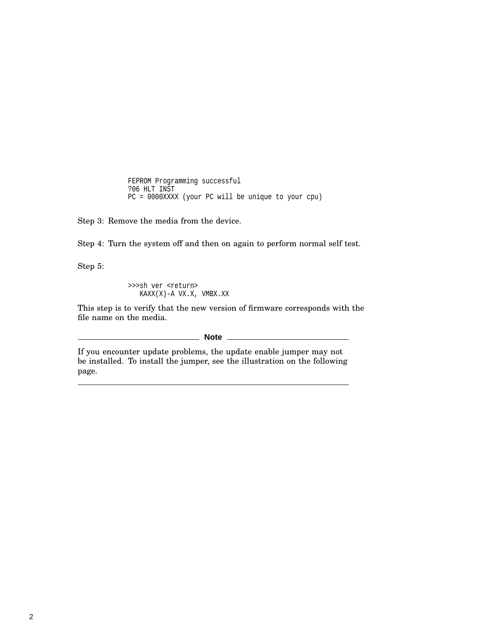FEPROM Programming successful ?06 HLT INST PC = 0000XXXX (your PC will be unique to your cpu)

Step 3: Remove the media from the device.

Step 4: Turn the system off and then on again to perform normal self test.

Step 5:

>>>sh ver <return> KAXX(X)-A VX.X, VMBX.XX

This step is to verify that the new version of firmware corresponds with the file name on the media.

**Note** \_\_\_\_\_

If you encounter update problems, the update enable jumper may not be installed. To install the jumper, see the illustration on the following page.